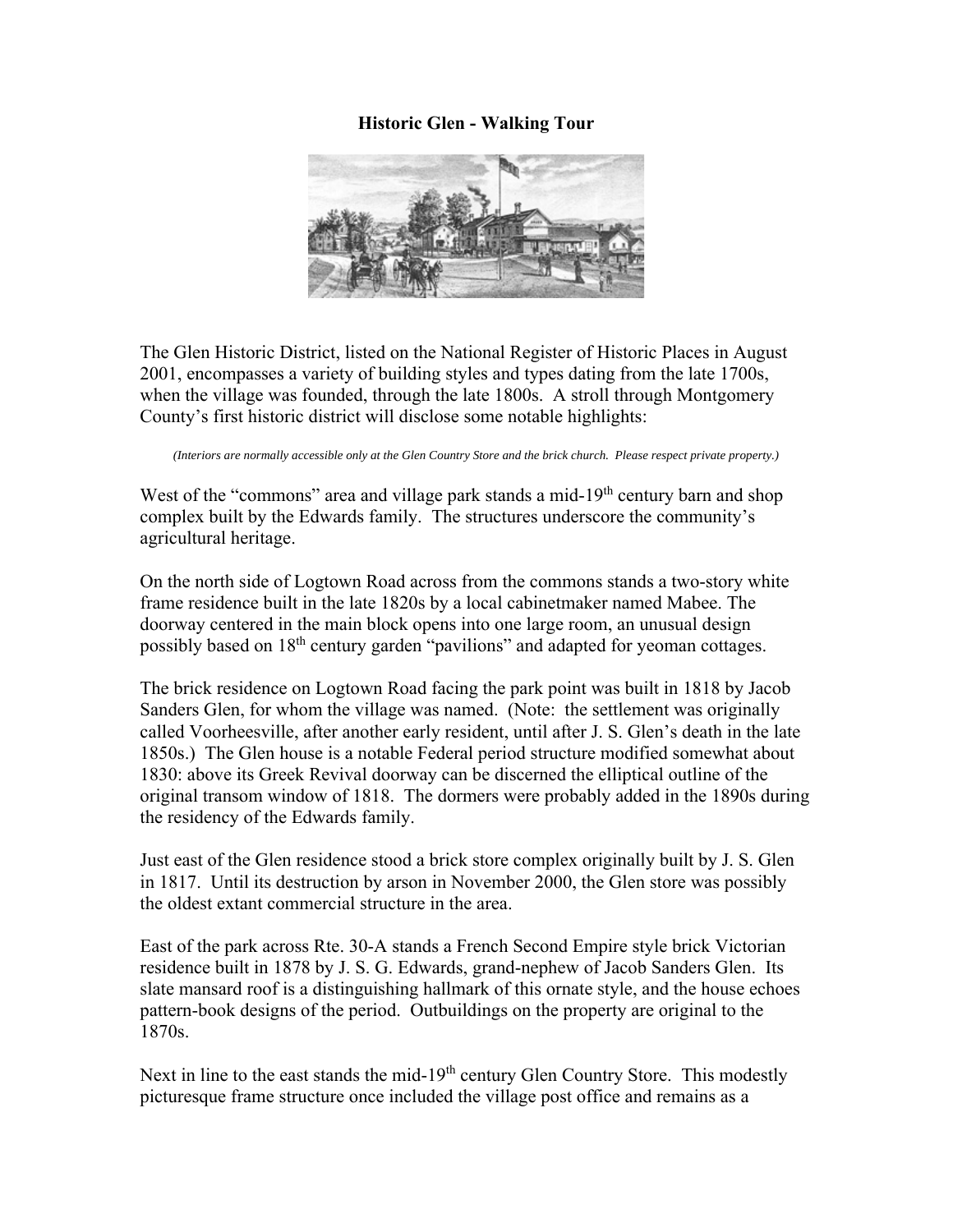## **Historic Glen - Walking Tour**



The Glen Historic District, listed on the National Register of Historic Places in August 2001, encompasses a variety of building styles and types dating from the late 1700s, when the village was founded, through the late 1800s. A stroll through Montgomery County's first historic district will disclose some notable highlights:

*(Interiors are normally accessible only at the Glen Country Store and the brick church. Please respect private property.)* 

West of the "commons" area and village park stands a mid-19<sup>th</sup> century barn and shop complex built by the Edwards family. The structures underscore the community's agricultural heritage.

On the north side of Logtown Road across from the commons stands a two-story white frame residence built in the late 1820s by a local cabinetmaker named Mabee. The doorway centered in the main block opens into one large room, an unusual design possibly based on 18<sup>th</sup> century garden "pavilions" and adapted for yeoman cottages.

The brick residence on Logtown Road facing the park point was built in 1818 by Jacob Sanders Glen, for whom the village was named. (Note: the settlement was originally called Voorheesville, after another early resident, until after J. S. Glen's death in the late 1850s.) The Glen house is a notable Federal period structure modified somewhat about 1830: above its Greek Revival doorway can be discerned the elliptical outline of the original transom window of 1818. The dormers were probably added in the 1890s during the residency of the Edwards family.

Just east of the Glen residence stood a brick store complex originally built by J. S. Glen in 1817. Until its destruction by arson in November 2000, the Glen store was possibly the oldest extant commercial structure in the area.

East of the park across Rte. 30-A stands a French Second Empire style brick Victorian residence built in 1878 by J. S. G. Edwards, grand-nephew of Jacob Sanders Glen. Its slate mansard roof is a distinguishing hallmark of this ornate style, and the house echoes pattern-book designs of the period. Outbuildings on the property are original to the 1870s.

Next in line to the east stands the mid- $19<sup>th</sup>$  century Glen Country Store. This modestly picturesque frame structure once included the village post office and remains as a